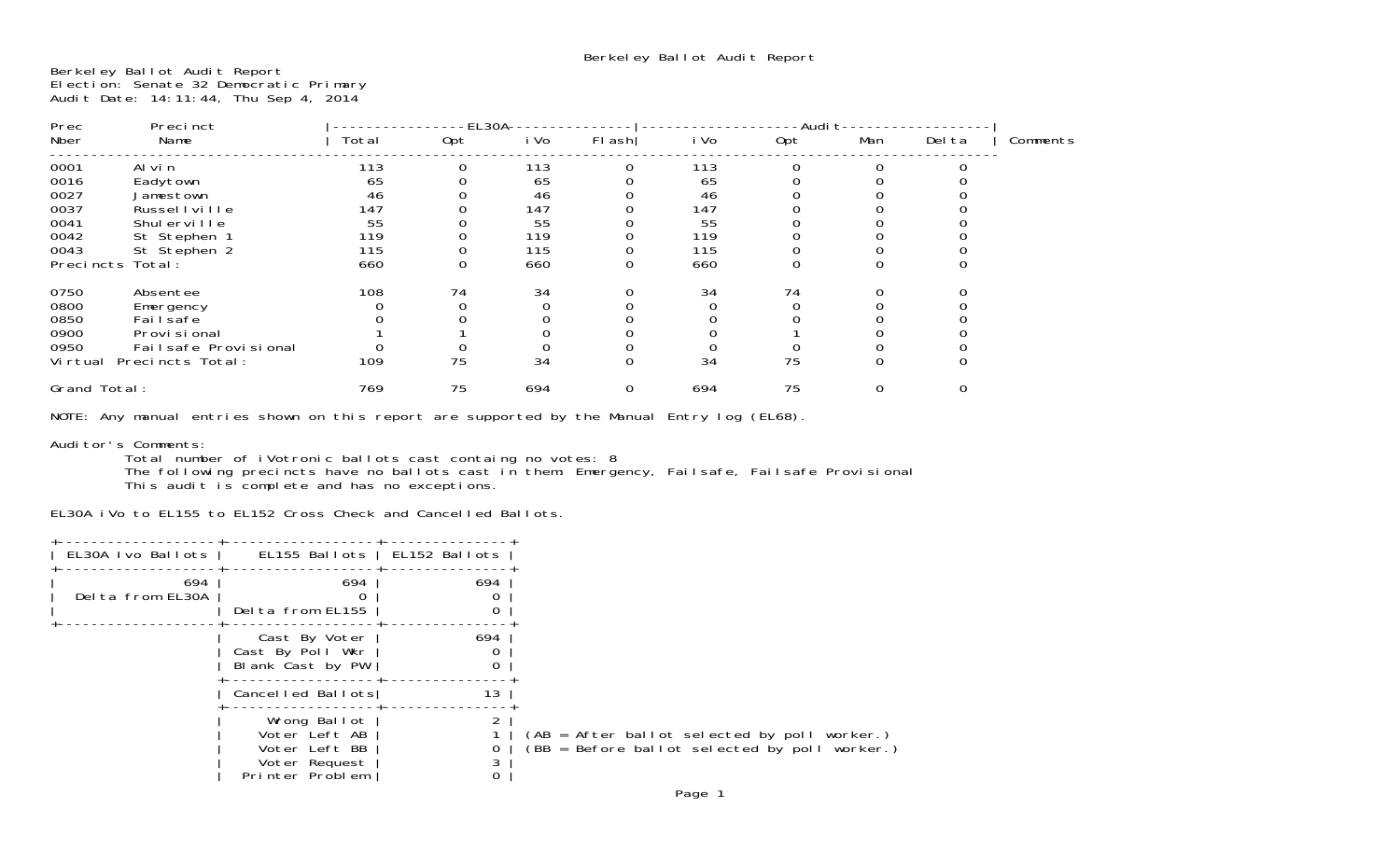Berkeley Ballot Audit Report Election: Senate 32 Democratic Primary Audit Date: 14:11:44, Thu Sep 4, 2014

| Prec        |                                                                                                                                                                                          | -EL30A-                               |      |                                      |      |                                            |     |         |          |  |
|-------------|------------------------------------------------------------------------------------------------------------------------------------------------------------------------------------------|---------------------------------------|------|--------------------------------------|------|--------------------------------------------|-----|---------|----------|--|
| Name        | Total                                                                                                                                                                                    | 0pt                                   | i Vo | Flash                                | i Vo | Opt                                        | Man | Del ta  | Comments |  |
| Al vi n     | 113                                                                                                                                                                                      | 0                                     | 113  |                                      | 113  |                                            |     |         |          |  |
|             | 65                                                                                                                                                                                       |                                       | 65   |                                      |      |                                            |     |         |          |  |
| Jamestown   | 46                                                                                                                                                                                       |                                       | 46   |                                      | 46   |                                            |     |         |          |  |
|             |                                                                                                                                                                                          |                                       |      |                                      |      |                                            |     |         |          |  |
| Shulerville |                                                                                                                                                                                          |                                       |      |                                      |      |                                            |     |         |          |  |
|             |                                                                                                                                                                                          |                                       |      |                                      |      |                                            |     |         |          |  |
|             |                                                                                                                                                                                          |                                       |      |                                      |      |                                            |     |         |          |  |
|             |                                                                                                                                                                                          | 0                                     |      |                                      |      |                                            |     |         |          |  |
| Absentee    | 108                                                                                                                                                                                      | 74                                    | 34   |                                      | 34   | 74                                         |     |         |          |  |
| Emergency   |                                                                                                                                                                                          |                                       |      |                                      |      |                                            |     |         |          |  |
|             |                                                                                                                                                                                          |                                       |      |                                      |      |                                            |     |         |          |  |
|             |                                                                                                                                                                                          |                                       |      |                                      |      |                                            |     |         |          |  |
|             |                                                                                                                                                                                          |                                       |      |                                      |      |                                            |     |         |          |  |
|             |                                                                                                                                                                                          |                                       |      |                                      |      |                                            |     |         |          |  |
|             | 769                                                                                                                                                                                      | 75                                    | 694  |                                      | 694  | 75                                         |     | 0       |          |  |
| Vi rtual    | Precinct<br>Eadytown<br>Russel I ville<br>St Stephen 1<br>St Stephen 2<br>Total:<br>Precincts<br>Fai I safe<br>Provi si onal<br>Failsafe Provisional<br>Precincts Total:<br>Grand Total: | 147<br>55<br>119<br>115<br>660<br>109 | 75   | 147<br>55<br>119<br>115<br>660<br>34 |      | 65<br>147<br>55<br>119<br>115<br>660<br>34 | 75  | -Audit- |          |  |

NOTE: Any manual entries shown on this report are supported by the Manual Entry log (EL68).

Auditor's Comments:

 Total number of iVotronic ballots cast containg no votes: 8 The following precincts have no ballots cast in them: Emergency, Failsafe, Failsafe Provisional This audit is complete and has no exceptions.

EL30A iVo to EL155 to EL152 Cross Check and Cancelled Ballots.

| EL30A Ivo Ballots       | EL155 Ballots   EL152 Ballots                                                      |          |                                                                                               |
|-------------------------|------------------------------------------------------------------------------------|----------|-----------------------------------------------------------------------------------------------|
| 694<br>Delta from EL30A | 694<br>Delta from EL155                                                            | 694      |                                                                                               |
|                         | Cast By Voter<br>Cast By Poll Wkr<br>Blank Cast by PW                              | 694<br>0 |                                                                                               |
|                         | Cancelled Ballots                                                                  | 13       |                                                                                               |
|                         | Wrong Ballot<br>Voter Left AB<br>Voter Left BB<br>Voter Request<br>Printer Problem | 3<br>0   | (AB = After ballot selected by poll worker.)<br>(BB = Before ballot selected by poll worker.) |
|                         |                                                                                    |          | Dao 1                                                                                         |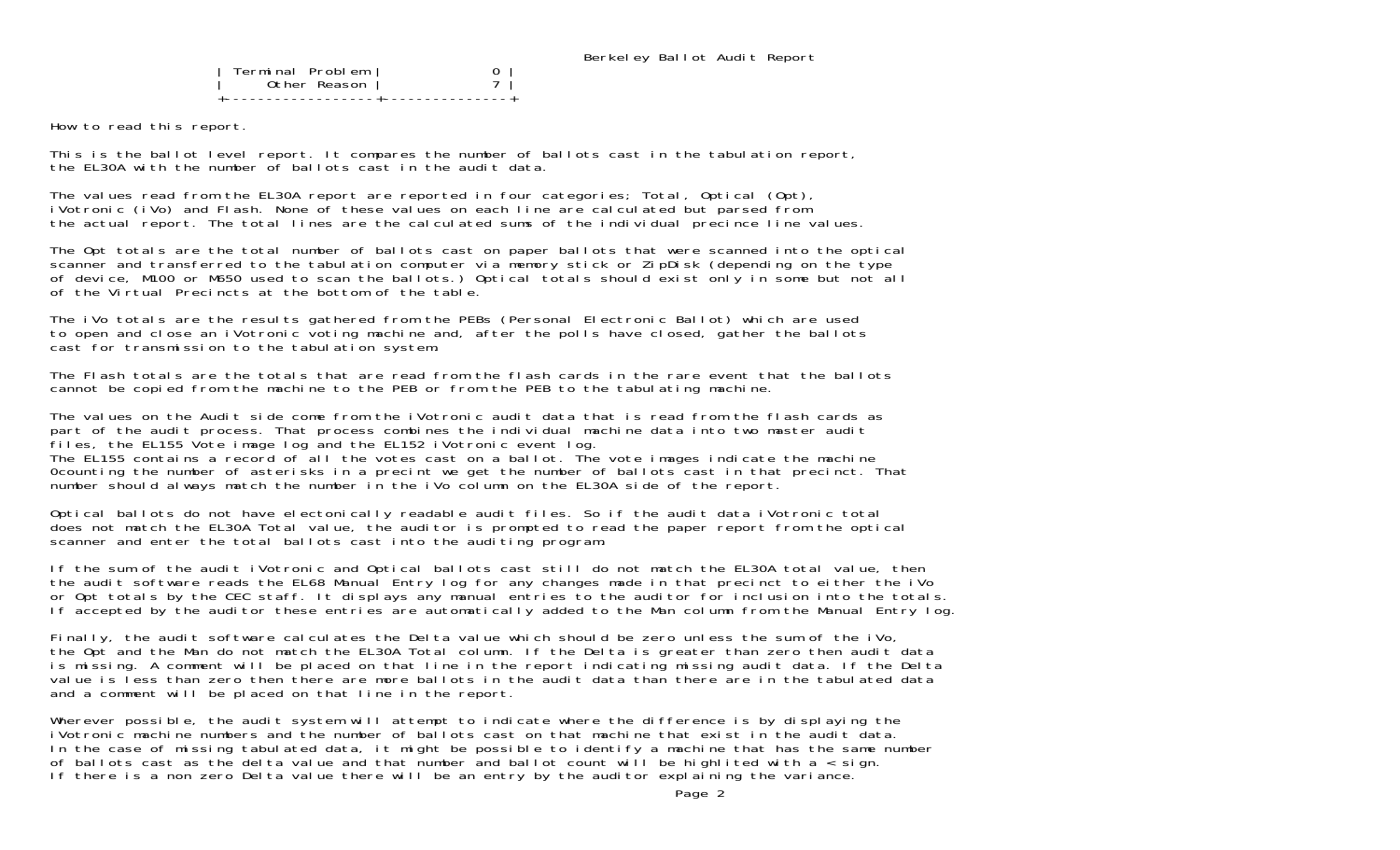| Terminal Problem | 0 | Other Reason +------------------+---------------+

How to read this report.

This is the ballot level report. It compares the number of ballots cast in the tabulation report, the EL30A with the number of ballots cast in the audit data.

The values read from the EL30A report are reported in four categories; Total, Optical (Opt), iVotronic (iVo) and Flash. None of these values on each line are calculated but parsed from the actual report. The total lines are the calculated sums of the individual precince line values.

The Opt totals are the total number of ballots cast on paper ballots that were scanned into the optical scanner and transferred to the tabulation computer via memory stick or ZipDisk (depending on the type of device, M100 or M650 used to scan the ballots.) Optical totals should exist only in some but not all of the Virtual Precincts at the bottom of the table.

The iVo totals are the results gathered from the PEBs (Personal Electronic Ballot) which are used to open and close an iVotronic voting machine and, after the polls have closed, gather the ballots cast for transmission to the tabulation system.

The Flash totals are the totals that are read from the flash cards in the rare event that the ballots cannot be copied from the machine to the PEB or from the PEB to the tabulating machine.

The values on the Audit side come from the iVotronic audit data that is read from the flash cards as part of the audit process. That process combines the individual machine data into two master audit files, the EL155 Vote image log and the EL152 iVotronic event log. The EL155 contains a record of all the votes cast on a ballot. The vote images indicate the machine 0counting the number of asterisks in a precint we get the number of ballots cast in that precinct. That number should always match the number in the iVo column on the EL30A side of the report.

Optical ballots do not have electonically readable audit files. So if the audit data iVotronic total does not match the EL30A Total value, the auditor is prompted to read the paper report from the optical scanner and enter the total ballots cast into the auditing program.

If the sum of the audit iVotronic and Optical ballots cast still do not match the EL30A total value, then the audit software reads the EL68 Manual Entry log for any changes made in that precinct to either the iVo or Opt totals by the CEC staff. It displays any manual entries to the auditor for inclusion into the totals. If accepted by the auditor these entries are automatically added to the Man column from the Manual Entry log.

Finally, the audit software calculates the Delta value which should be zero unless the sum of the iVo, the Opt and the Man do not match the EL30A Total column. If the Delta is greater than zero then audit data is missing. A comment will be placed on that line in the report indicating missing audit data. If the Delta value is less than zero then there are more ballots in the audit data than there are in the tabulated data and a comment will be placed on that line in the report.

Wherever possible, the audit system will attempt to indicate where the difference is by displaying the iVotronic machine numbers and the number of ballots cast on that machine that exist in the audit data. In the case of missing tabulated data, it might be possible to identify a machine that has the same number of ballots cast as the delta value and that number and ballot count will be highlited with  $a <$  sign. If there is a non zero Delta value there will be an entry by the auditor explaining the variance.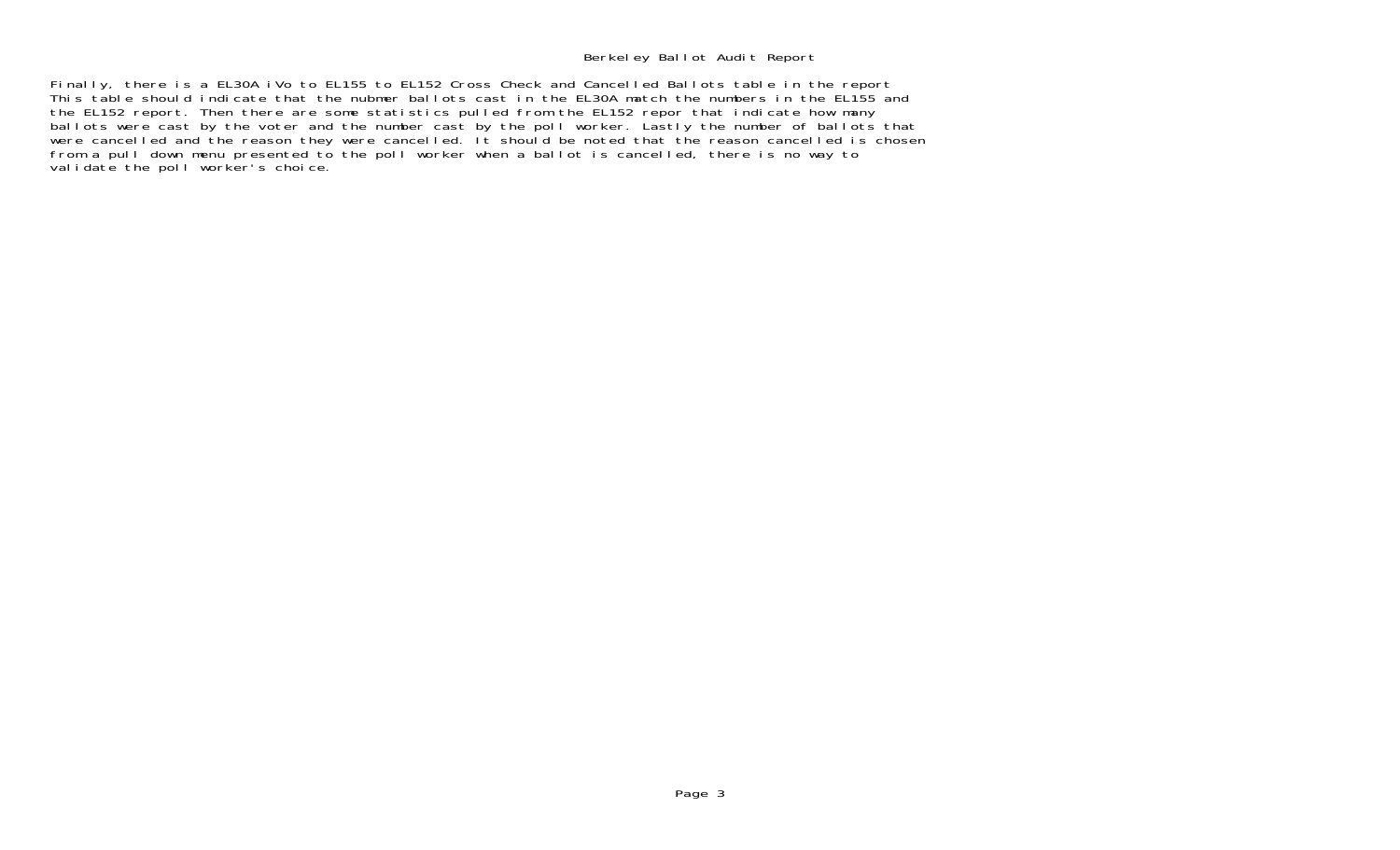## Berkeley Ballot Audit Report

Finally, there is a EL30A iVo to EL155 to EL152 Cross Check and Cancelled Ballots table in the report<br>This table should indicate that the nubmer ballots cast in the EL30A match the numbers in the EL155 and<br>the EL152 report ballots were cast by the voter and the number cast by the poll worker. Lastly the number of ballots that were cancelled and the reason they were cancelled. It should be noted that the reason cancelled is chosen from a pull down menu presented to the poll worker when a ballot is cancelled, there is no way to validate the poll worker's choice.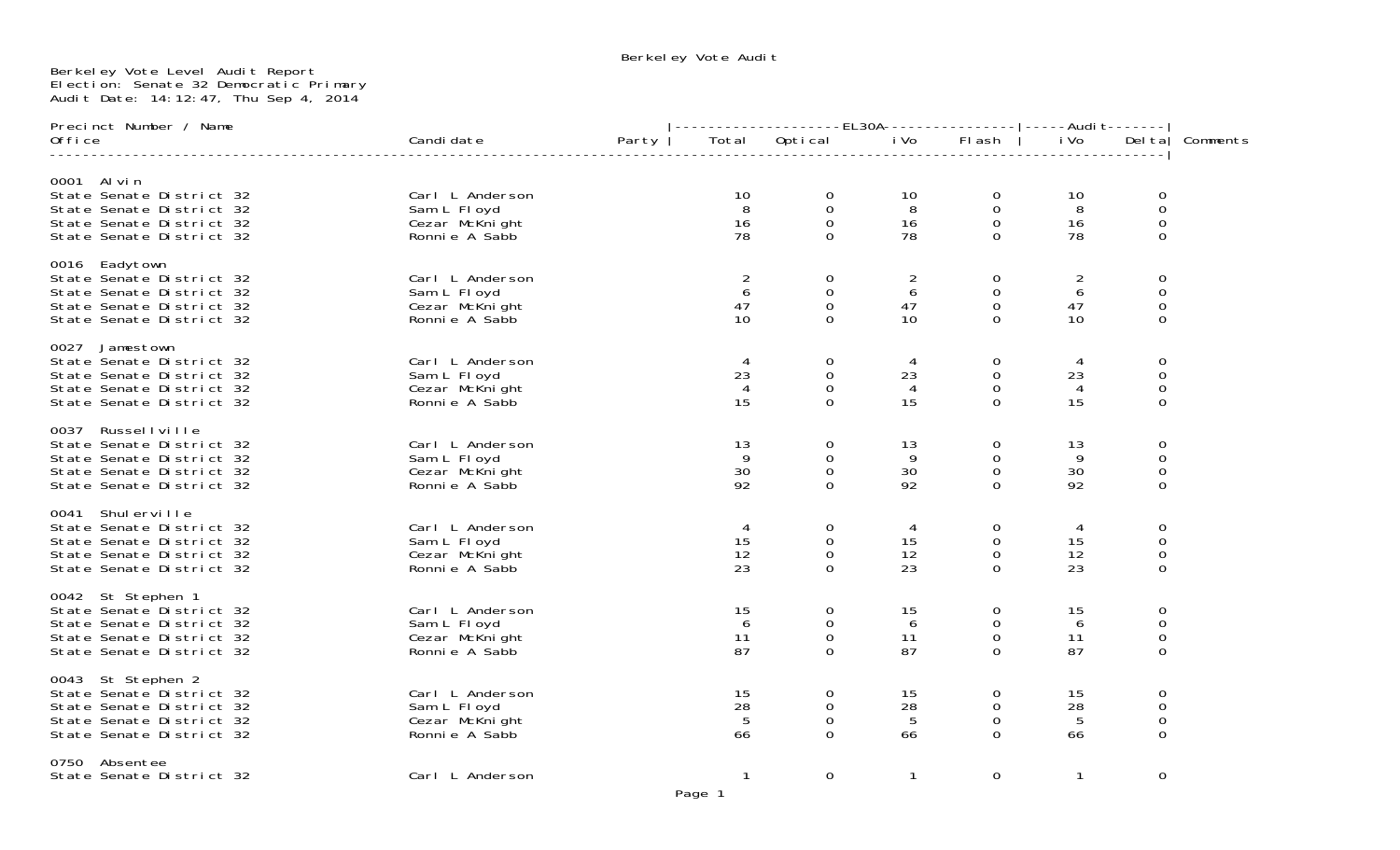Berkeley Vote Level Audit Report Election: Senate 32 Democratic Primary Audit Date: 14:12:47, Thu Sep 4, 2014

| Precinct Number / Name                                                                                                            |                                                                    |       |                                              |                                                             |                      |                                                     |                                 |                                                        |          |
|-----------------------------------------------------------------------------------------------------------------------------------|--------------------------------------------------------------------|-------|----------------------------------------------|-------------------------------------------------------------|----------------------|-----------------------------------------------------|---------------------------------|--------------------------------------------------------|----------|
| 0ffice                                                                                                                            | Candi date                                                         | Party | Total                                        | Optical                                                     | i Vo                 | FI ash                                              | i Vo                            | Del ta                                                 | Comments |
| 0001 Alvin<br>State Senate District 32<br>State Senate District 32<br>State Senate District 32<br>State Senate District 32        | Carl L Anderson<br>Sam L Floyd<br>Cezar McKnight<br>Ronni e A Sabb |       | 10<br>8<br>16<br>78                          | 0<br>$\mathbf 0$<br>$\mathbf 0$<br>$\mathbf 0$              | 10<br>8<br>16<br>78  | 0<br>0<br>$\mathbf 0$<br>$\Omega$                   | 10<br>8<br>16<br>78             | 0<br>$\mathbf 0$<br>$\mathbf 0$<br>$\mathbf 0$         |          |
| 0016 Eadytown<br>State Senate District 32<br>State Senate District 32<br>State Senate District 32<br>State Senate District 32     | Carl L Anderson<br>Sam L Floyd<br>Cezar McKnight<br>Ronni e A Sabb |       | $\overline{2}$<br>$\overline{6}$<br>47<br>10 | 0<br>$\mathbf 0$<br>$\mathbf 0$<br>$\Omega$                 | 2<br>6<br>47<br>10   | 0<br>$\mathbf 0$<br>$\mathbf 0$<br>$\Omega$         | 2<br>6<br>47<br>10              | 0<br>$\mathbf 0$<br>$\mathbf 0$<br>$\mathbf 0$         |          |
| 0027 Jamestown<br>State Senate District 32<br>State Senate District 32<br>State Senate District 32<br>State Senate District 32    | Carl L Anderson<br>Sam L Floyd<br>Cezar McKnight<br>Ronni e A Sabb |       | $\overline{4}$<br>23<br>$\overline{4}$<br>15 | 0<br>$\mathbf 0$<br>0<br>$\overline{0}$                     | 4<br>23<br>4<br>15   | 0<br>$\mathbf 0$<br>$\mbox{O}$<br>$\mathbf 0$       | 4<br>23<br>$\overline{4}$<br>15 | 0<br>$\mathbf 0$<br>$\mathsf{O}\xspace$<br>$\mathbf 0$ |          |
| 0037 Russellville<br>State Senate District 32<br>State Senate District 32<br>State Senate District 32<br>State Senate District 32 | Carl L Anderson<br>Sam L Floyd<br>Cezar McKnight<br>Ronni e A Sabb |       | 13<br>-9<br>30<br>92                         | $\mathbf 0$<br>$\mathbf 0$<br>$\mathbf 0$<br>$\overline{0}$ | 13<br>9<br>30<br>92  | 0<br>0<br>$\mathbf 0$<br>$\Omega$                   | 13<br>9<br>30<br>92             | $\mathbf 0$<br>0<br>$\mathbf 0$<br>$\mathsf{O}$        |          |
| 0041 Shulerville<br>State Senate District 32<br>State Senate District 32<br>State Senate District 32<br>State Senate District 32  | Carl L Anderson<br>Sam L Floyd<br>Cezar McKnight<br>Ronni e A Sabb |       | 4<br>15<br>12<br>23                          | 0<br>$\mathbf 0$<br>$\mathbf 0$<br>$\Omega$                 | 4<br>15<br>12<br>23  | 0<br>0<br>$\mathsf{O}\xspace$<br>$\Omega$           | 4<br>15<br>12<br>23             | 0<br>$\mathbf 0$<br>$\mathbf 0$<br>$\mathbf 0$         |          |
| 0042 St Stephen 1<br>State Senate District 32<br>State Senate District 32<br>State Senate District 32<br>State Senate District 32 | Carl L Anderson<br>Sam L Floyd<br>Cezar McKnight<br>Ronni e A Sabb |       | 15<br>6<br>11<br>87                          | $\mathbf 0$<br>$\mathbf 0$<br>$\mathbf 0$<br>$\Omega$       | 15<br>-6<br>11<br>87 | 0<br>0<br>$\mathbf 0$<br>$\Omega$                   | 15<br>-6<br>11<br>87            | $\mathbf 0$<br>0<br>$\mathsf{O}\xspace$<br>$\Omega$    |          |
| 0043 St Stephen 2<br>State Senate District 32<br>State Senate District 32<br>State Senate District 32<br>State Senate District 32 | Carl L Anderson<br>Sam L Floyd<br>Cezar McKnight<br>Ronni e A Sabb |       | 15<br>28<br>5<br>66                          | 0<br>0<br>$\mathbf 0$<br>0                                  | 15<br>28<br>5<br>66  | 0<br>$\mathbf 0$<br>$\mathsf{O}\xspace$<br>$\Omega$ | 15<br>28<br>5<br>66             | $\mathbf 0$<br>$\mathbf 0$<br>$\mathbf 0$<br>$\Omega$  |          |
| Absentee<br>0750<br>State Senate District 32                                                                                      | Carl L Anderson                                                    |       | -1<br>$\sim$ $\sim$                          | $\mathbf 0$                                                 | -1                   | 0                                                   | -1                              | 0                                                      |          |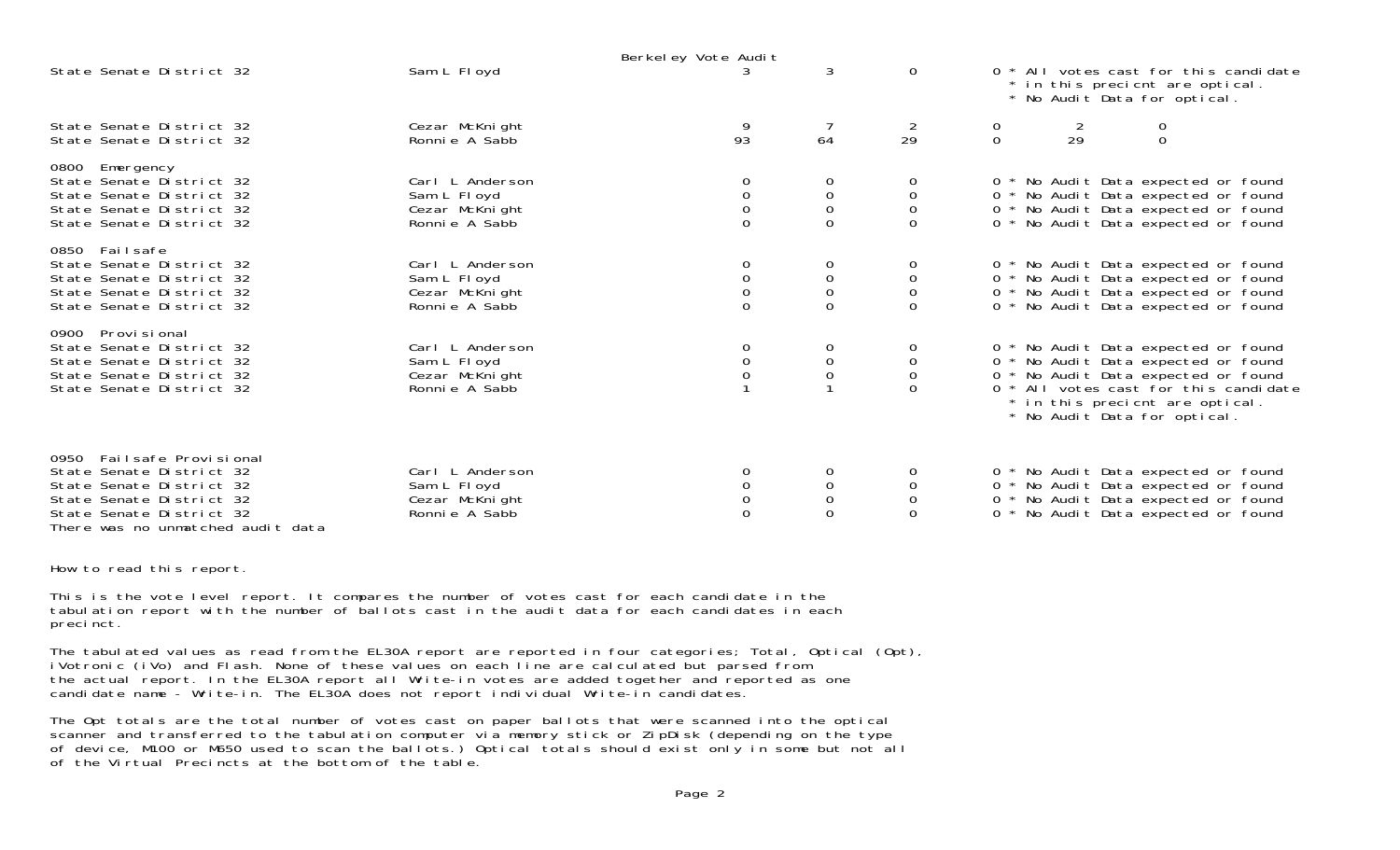| State Senate District 32                                                                                                                                                          | Sam L Floyd                                                        | Berkel ey Vote Audit                                | 3                                            | $\Omega$                                    |                                      | 0 * All votes cast for this candidate<br>in this precient are optical.<br>No Audit Data for optical.                                                                                                                      |
|-----------------------------------------------------------------------------------------------------------------------------------------------------------------------------------|--------------------------------------------------------------------|-----------------------------------------------------|----------------------------------------------|---------------------------------------------|--------------------------------------|---------------------------------------------------------------------------------------------------------------------------------------------------------------------------------------------------------------------------|
| State Senate District 32<br>State Senate District 32                                                                                                                              | Cezar McKnight<br>Ronni e A Sabb                                   | 93                                                  | 64                                           | $rac{2}{29}$                                | $\begin{matrix} 0 \\ 0 \end{matrix}$ | 2<br>29<br>$\mathbf 0$                                                                                                                                                                                                    |
| Emergency<br>0800<br>State Senate District 32<br>State Senate District 32<br>State Senate District 32<br>State Senate District 32                                                 | Carl L Anderson<br>Sam L Floyd<br>Cezar McKnight<br>Ronnie A Sabb  | 0<br>$\mathbf 0$<br>$\mathbf 0$<br>$\Omega$         | 0<br>0<br>$\mathsf{O}\xspace$<br>$\Omega$    | 0<br>$\mathbf 0$<br>$\mathbf 0$<br>$\Omega$ |                                      | 0 * No Audit Data expected or found<br>0 * No Audit Data expected or found<br>0 * No Audit Data expected or found<br>0 * No Audit Data expected or found                                                                  |
| 0850 Failsafe<br>State Senate District 32<br>State Senate District 32<br>State Senate District 32<br>State Senate District 32                                                     | Carl L Anderson<br>Sam L Floyd<br>Cezar McKnight<br>Ronni e A Sabb | 0<br>$\mathsf{O}\xspace$<br>$\mathbf 0$<br>$\Omega$ | 0<br>0<br>$\mathsf{O}\xspace$<br>$\Omega$    | 0<br>0<br>$\mathbf 0$<br>$\Omega$           | $0 *$                                | 0 * No Audit Data expected or found<br>0 * No Audit Data expected or found<br>0 * No Audit Data expected or found<br>No Audit Data expected or found                                                                      |
| Provi si onal<br>0900<br>State Senate District 32<br>State Senate District 32<br>State Senate District 32<br>State Senate District 32                                             | Carl L Anderson<br>Sam L Floyd<br>Cezar McKnight<br>Ronni e A Sabb | $\mathsf{O}\xspace$<br>$\mathsf{O}\xspace$          | 0<br>$\mathsf{O}\xspace$<br>$\boldsymbol{0}$ | 0<br>0<br>$\mathbf 0$<br>$\Omega$           |                                      | 0 * No Audit Data expected or found<br>0 * No Audit Data expected or found<br>0 * No Audit Data expected or found<br>0 * All votes cast for this candidate<br>in this precient are optical.<br>No Audit Data for optical. |
| Failsafe Provisional<br>0950<br>State Senate District 32<br>State Senate District 32<br>State Senate District 32<br>State Senate District 32<br>There was no unmatched audit data | Carl L Anderson<br>Sam L Floyd<br>Cezar McKnight<br>Ronnie A Sabb  | 0<br>$\mathbf 0$<br>$\Omega$                        | 0<br>0<br>$\mathbf 0$<br>$\Omega$            | 0<br>0<br>$\Omega$                          | $0 *$                                | 0 * No Audit Data expected or found<br>0 * No Audit Data expected or found<br>0 * No Audit Data expected or found<br>No Audit Data expected or found                                                                      |

How to read this report.

This is the vote level report. It compares the number of votes cast for each candidate in the tabulation report with the number of ballots cast in the audit data for each candidates in each precinct.

The tabulated values as read from the EL30A report are reported in four categories; Total, Optical (Opt),<br>iVotronic (iVo) and Flash. None of these values on each line are calculated but parsed from the actual report. In the EL30A report all Write-in votes are added together and reported as one candidate name - Write-in. The EL30A does not report individual Write-in candidates.

The Opt totals are the total number of votes cast on paper ballots that were scanned into the optical scanner and transferred to the tabulation computer via memory stick or ZipDisk (depending on the type of device, M100 or M650 used to scan the ballots.) Optical totals should exist only in some but not all of the Virtual Precincts at the bottom of the table.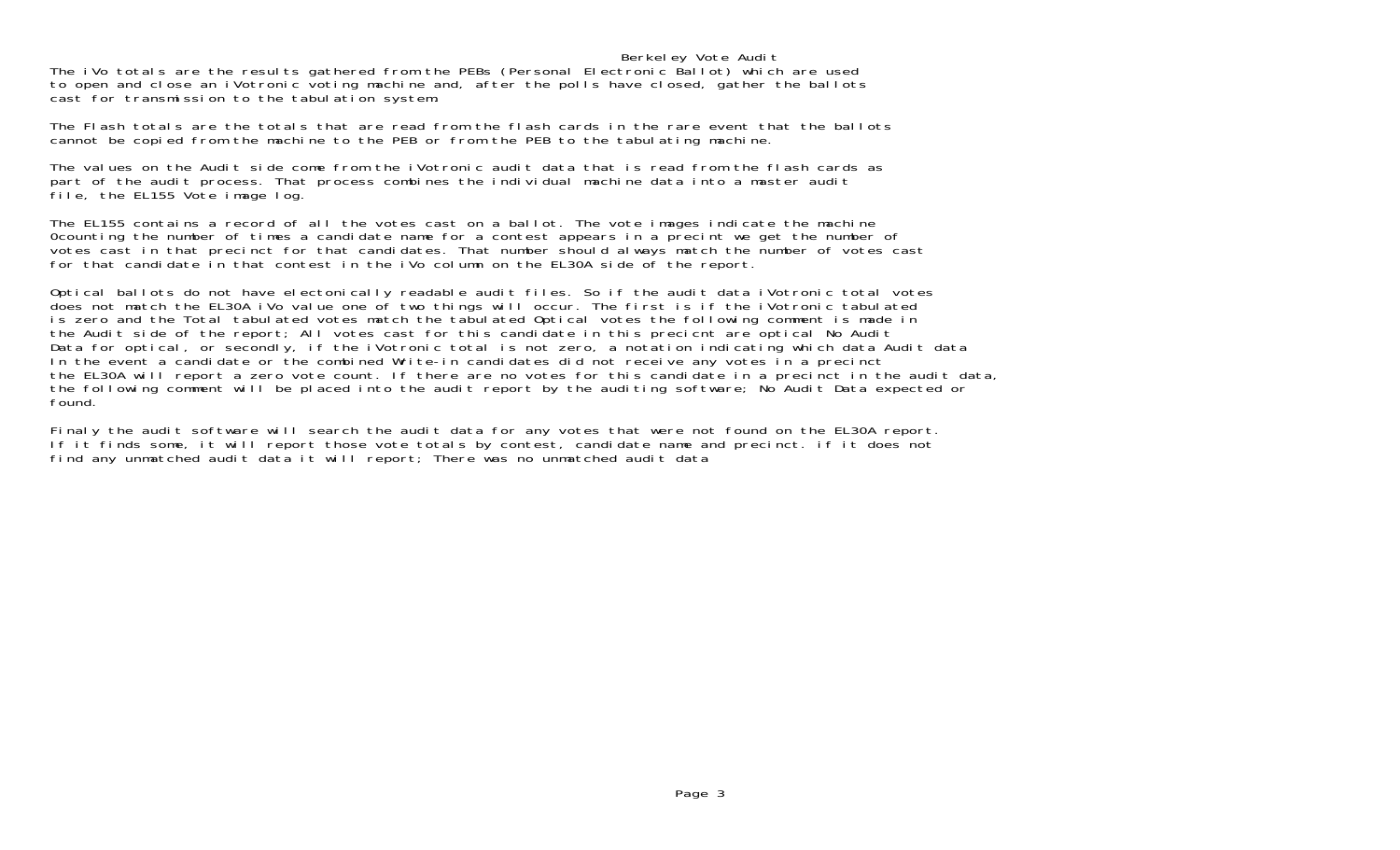## Berkeley Vote Audit

The iVo totals are the results gathered from the PEBs (Personal Electronic Ballot) which are used to open and close an iVotronic voting machine and, after the polls have closed, gather the ballots cast for transmission to the tabulation system.

The Flash totals are the totals that are read from the flash cards in the rare event that the ballots cannot be copied from the machine to the PEB or from the PEB to the tabulating machine.

The values on the Audit side come from the iVotronic audit data that is read from the flash cards as part of the audit process. That process combines the individual machine data into a master audit file, the EL155 Vote image log.

The EL155 contains a record of all the votes cast on a ballot. The vote images indicate the machine 0counting the number of times a candidate name for a contest appears in a precint we get the number of votes cast in that precinct for that candidates. That number should always match the number of votes cast for that candidate in that contest in the iVo column on the EL30A side of the report.

Optical ballots do not have electonically readable audit files. So if the audit data iVotronic total votes does not match the EL30A iVo value one of two things will occur. The first is if the iVotronic tabulated is zero and the Total tabulated votes match the tabulated Optical votes the following comment is made in the Audit side of the report; All votes cast for this candidate in this precicnt are optical No Audit Data for optical, or secondly, if the iVotronic total is not zero, a notation indicating which data Audit data In the event a candidate or the combined Write-in candidates did not receive any votes in a precinct the EL30A will report a zero vote count. If there are no votes for this candidate in a precinct in the audit data, the following comment will be placed into the audit report by the auditing software; No Audit Data expected or found.

Finaly the audit software will search the audit data for any votes that were not found on the EL30A report. If it finds some, it will report those vote totals by contest, candidate name and precinct. if it does not find any unmatched audit data it will report; There was no unmatched audit data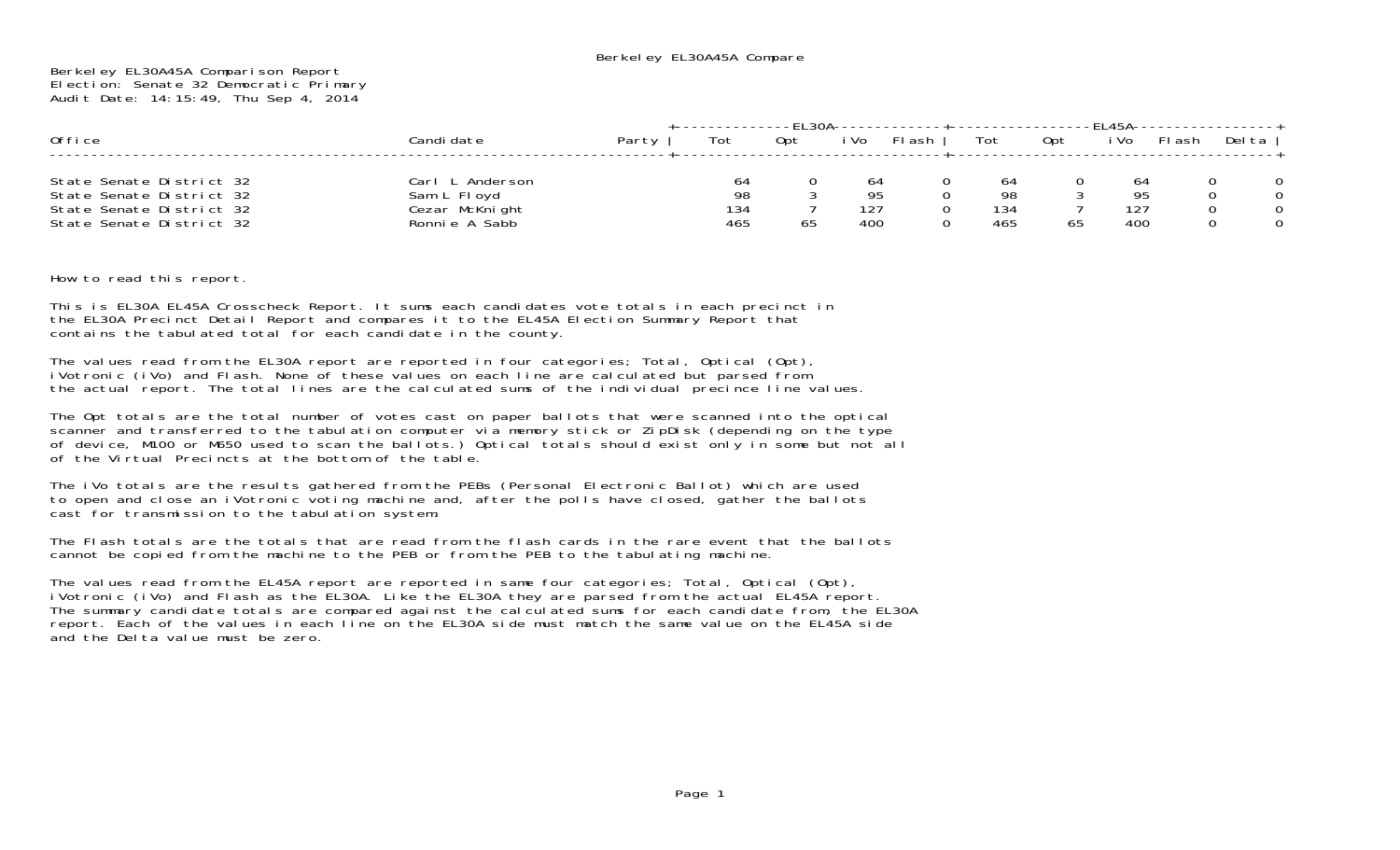Berkeley EL30A45A Comparison Report Election: Senate 32 Democratic Primary Audit Date: 14:15:49, Thu Sep 4, 2014

|                                                                                                              |                                                                   |       |                        |     |                        |        |                         |     | -FI 45A--              |               |       |                        |
|--------------------------------------------------------------------------------------------------------------|-------------------------------------------------------------------|-------|------------------------|-----|------------------------|--------|-------------------------|-----|------------------------|---------------|-------|------------------------|
| Office                                                                                                       | Candi date                                                        | Party | Tot                    | 0pt | i Vo                   | FI ash | Tot                     | Opt | i Vo                   | <b>FI</b> ash | Delta |                        |
| State Senate District 32<br>State Senate District 32<br>State Senate District 32<br>State Senate District 32 | Carl L Anderson<br>Sam L Flovd<br>Cezar McKnight<br>Ronnie A Sabb |       | 64<br>98<br>134<br>465 | 65  | 64<br>95<br>127<br>400 |        | 64<br>-98<br>134<br>465 | 65  | 64<br>95<br>127<br>400 |               |       | 0<br>0<br><sup>n</sup> |

How to read this report.

This is EL30A EL45A Crosscheck Report. It sums each candidates vote totals in each precinct in the EL30A Precinct Detail Report and compares it to the EL45A Election Summary Report that contains the tabulated total for each candidate in the county.

The values read from the EL30A report are reported in four categories; Total, Optical (Opt), iVotronic (iVo) and Flash. None of these values on each line are calculated but parsed from the actual report. The total lines are the calculated sums of the individual precince line values.

The Opt totals are the total number of votes cast on paper ballots that were scanned into the optical scanner and transferred to the tabulation computer via memory stick or ZipDisk (depending on the type of device, M100 or M650 used to scan the ballots.) Optical totals should exist only in some but not all of the Virtual Precincts at the bottom of the table.

The iVo totals are the results gathered from the PEBs (Personal Electronic Ballot) which are used to open and close an iVotronic voting machine and, after the polls have closed, gather the ballots cast for transmission to the tabulation system.

The Flash totals are the totals that are read from the flash cards in the rare event that the ballots cannot be copied from the machine to the PEB or from the PEB to the tabulating machine.

The values read from the EL45A report are reported in same four categories; Total, Optical (Opt),<br>iVotronic (iVo) and Flash as the EL30A. Like the EL30A they are parsed from the actual EL45A report. The summary candidate totals are compared against the calculated sums for each candidate from, the EL30A report. Each of the values in each line on the EL30A side must match the same value on the EL45A side and the Delta value must be zero.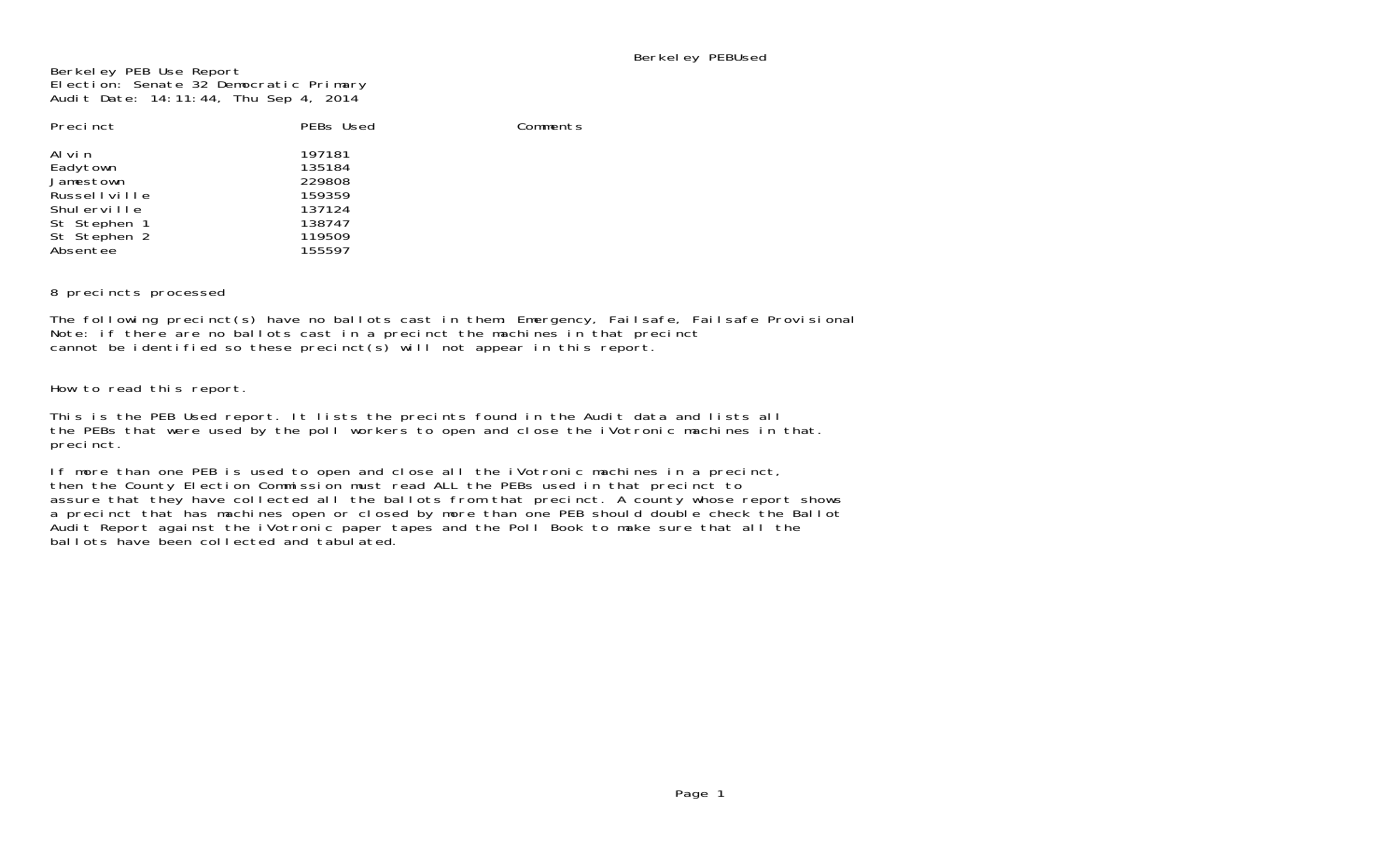Berkeley PEB Use Report Election: Senate 32 Democratic Primary Audit Date: 14:11:44, Thu Sep 4, 2014

| Precinct                                           | PEBs Used                            |
|----------------------------------------------------|--------------------------------------|
| Al vi n<br>Eadytown<br>Jamestown<br>Russel I ville | 197181<br>135184<br>229808<br>159359 |
| Shulerville                                        | 137124                               |
| St Stephen 1                                       | 138747                               |
| St Stephen 2                                       | 119509                               |
| Absentee                                           | 155597                               |

8 precincts processed

The following precinct(s) have no ballots cast in them: Emergency, Failsafe, Failsafe Provisional Note: if there are no ballots cast in a precinct the machines in that precinct cannot be identified so these precinct(s) will not appear in this report.

Comments

How to read this report.

This is the PEB Used report. It lists the precints found in the Audit data and lists all the PEBs that were used by the poll workers to open and close the iVotronic machines in that. precinct.

If more than one PEB is used to open and close all the iVotronic machines in a precinct, then the County Election Commission must read ALL the PEBs used in that precinct to assure that they have collected all the ballots from that precinct. A county whose report shows a precinct that has machines open or closed by more than one PEB should double check the Ballot Audit Report against the iVotronic paper tapes and the Poll Book to make sure that all the ballots have been collected and tabulated.